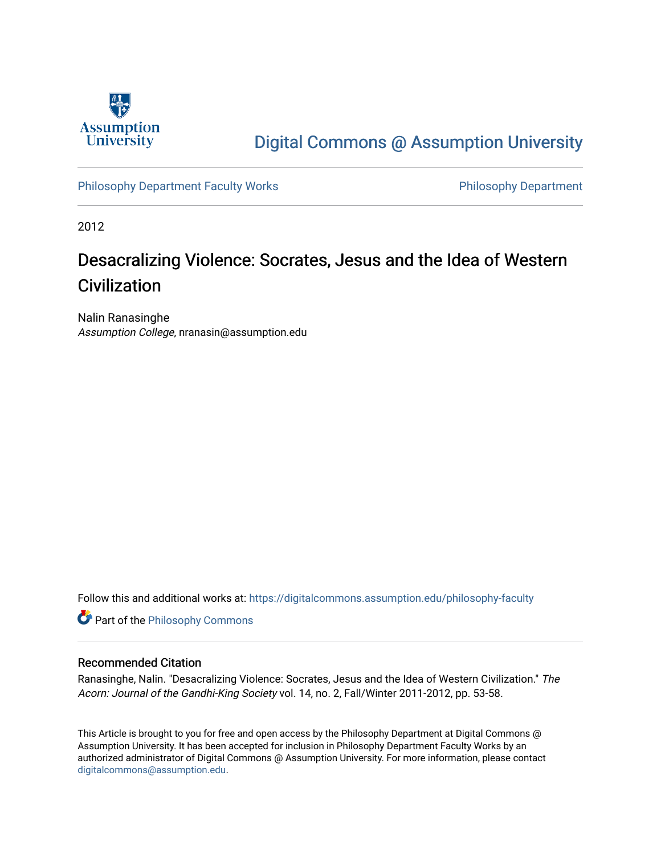

# [Digital Commons @ Assumption University](https://digitalcommons.assumption.edu/)

[Philosophy Department Faculty Works](https://digitalcommons.assumption.edu/philosophy-faculty) **Philosophy Department** 

2012

# Desacralizing Violence: Socrates, Jesus and the Idea of Western **Civilization**

Nalin Ranasinghe Assumption College, nranasin@assumption.edu

Follow this and additional works at: [https://digitalcommons.assumption.edu/philosophy-faculty](https://digitalcommons.assumption.edu/philosophy-faculty?utm_source=digitalcommons.assumption.edu%2Fphilosophy-faculty%2F8&utm_medium=PDF&utm_campaign=PDFCoverPages) 

**Part of the Philosophy Commons** 

### Recommended Citation

Ranasinghe, Nalin. "Desacralizing Violence: Socrates, Jesus and the Idea of Western Civilization." The Acorn: Journal of the Gandhi-King Society vol. 14, no. 2, Fall/Winter 2011-2012, pp. 53-58.

This Article is brought to you for free and open access by the Philosophy Department at Digital Commons @ Assumption University. It has been accepted for inclusion in Philosophy Department Faculty Works by an authorized administrator of Digital Commons @ Assumption University. For more information, please contact [digitalcommons@assumption.edu](mailto:digitalcommons@assumption.edu).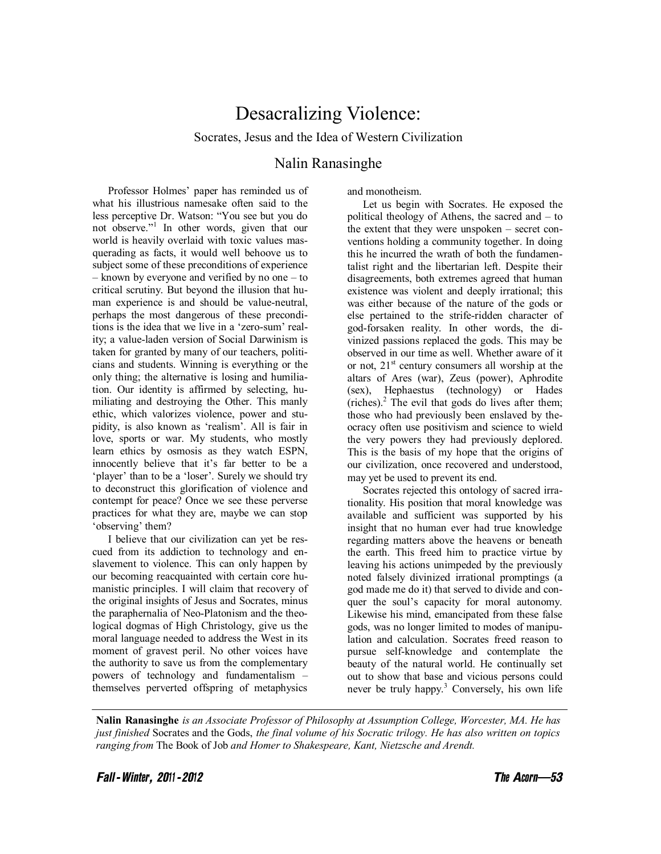## Desacralizing Violence:

Socrates, Jesus and the Idea of Western Civilization

### Nalin Ranasinghe

Professor Holmes' paper has reminded us of what his illustrious namesake often said to the less perceptive Dr. Watson: "You see but you do not observe."<sup>1</sup> In other words, given that our world is heavily overlaid with toxic values masquerading as facts, it would well behoove us to subject some of these preconditions of experience – known by everyone and verified by no one – to critical scrutiny. But beyond the illusion that human experience is and should be value-neutral, perhaps the most dangerous of these preconditions is the idea that we live in a 'zero-sum' reality; a value-laden version of Social Darwinism is taken for granted by many of our teachers, politicians and students. Winning is everything or the only thing; the alternative is losing and humiliation. Our identity is affirmed by selecting, humiliating and destroying the Other. This manly ethic, which valorizes violence, power and stupidity, is also known as 'realism'. All is fair in love, sports or war. My students, who mostly learn ethics by osmosis as they watch ESPN, innocently believe that it's far better to be a 'player' than to be a 'loser'. Surely we should try to deconstruct this glorification of violence and contempt for peace? Once we see these perverse practices for what they are, maybe we can stop 'observing' them?

I believe that our civilization can yet be rescued from its addiction to technology and enslavement to violence. This can only happen by our becoming reacquainted with certain core humanistic principles. I will claim that recovery of the original insights of Jesus and Socrates, minus the paraphernalia of Neo-Platonism and the theological dogmas of High Christology, give us the moral language needed to address the West in its moment of gravest peril. No other voices have the authority to save us from the complementary powers of technology and fundamentalism – themselves perverted offspring of metaphysics

and monotheism.

Let us begin with Socrates. He exposed the political theology of Athens, the sacred and – to the extent that they were unspoken – secret conventions holding a community together. In doing this he incurred the wrath of both the fundamentalist right and the libertarian left. Despite their disagreements, both extremes agreed that human existence was violent and deeply irrational; this was either because of the nature of the gods or else pertained to the strife-ridden character of god-forsaken reality. In other words, the divinized passions replaced the gods. This may be observed in our time as well. Whether aware of it or not,  $21<sup>st</sup>$  century consumers all worship at the altars of Ares (war), Zeus (power), Aphrodite (sex), Hephaestus (technology) or Hades  $(riches)<sup>2</sup>$  The evil that gods do lives after them; those who had previously been enslaved by theocracy often use positivism and science to wield the very powers they had previously deplored. This is the basis of my hope that the origins of our civilization, once recovered and understood, may yet be used to prevent its end.

Socrates rejected this ontology of sacred irrationality. His position that moral knowledge was available and sufficient was supported by his insight that no human ever had true knowledge regarding matters above the heavens or beneath the earth. This freed him to practice virtue by leaving his actions unimpeded by the previously noted falsely divinized irrational promptings (a god made me do it) that served to divide and conquer the soul's capacity for moral autonomy. Likewise his mind, emancipated from these false gods, was no longer limited to modes of manipulation and calculation. Socrates freed reason to pursue self-knowledge and contemplate the beauty of the natural world. He continually set out to show that base and vicious persons could never be truly happy.<sup>3</sup> Conversely, his own life

**Nalin Ranasinghe** *is an Associate Professor of Philosophy at Assumption College, Worcester, MA. He has just finished* Socrates and the Gods, *the final volume of his Socratic trilogy. He has also written on topics ranging from* The Book of Job *and Homer to Shakespeare, Kant, Nietzsche and Arendt.*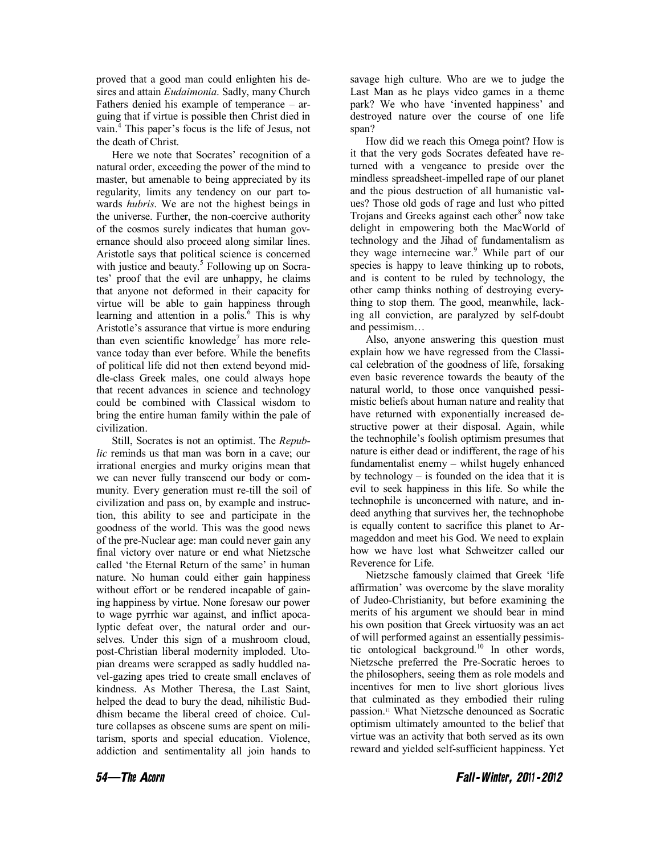proved that a good man could enlighten his desires and attain *Eudaimonia*. Sadly, many Church Fathers denied his example of temperance – arguing that if virtue is possible then Christ died in vain. $<sup>4</sup>$  This paper's focus is the life of Jesus, not</sup> the death of Christ.

Here we note that Socrates' recognition of a natural order, exceeding the power of the mind to master, but amenable to being appreciated by its regularity, limits any tendency on our part towards *hubris*. We are not the highest beings in the universe. Further, the non-coercive authority of the cosmos surely indicates that human governance should also proceed along similar lines. Aristotle says that political science is concerned with justice and beauty.<sup>5</sup> Following up on Socrates' proof that the evil are unhappy, he claims that anyone not deformed in their capacity for virtue will be able to gain happiness through learning and attention in a polis. $6$  This is why Aristotle's assurance that virtue is more enduring than even scientific knowledge<sup>7</sup> has more relevance today than ever before. While the benefits of political life did not then extend beyond middle-class Greek males, one could always hope that recent advances in science and technology could be combined with Classical wisdom to bring the entire human family within the pale of civilization.

Still, Socrates is not an optimist. The *Republic* reminds us that man was born in a cave; our irrational energies and murky origins mean that we can never fully transcend our body or community. Every generation must re-till the soil of civilization and pass on, by example and instruction, this ability to see and participate in the goodness of the world. This was the good news of the pre-Nuclear age: man could never gain any final victory over nature or end what Nietzsche called 'the Eternal Return of the same' in human nature. No human could either gain happiness without effort or be rendered incapable of gaining happiness by virtue. None foresaw our power to wage pyrrhic war against, and inflict apocalyptic defeat over, the natural order and ourselves. Under this sign of a mushroom cloud, post-Christian liberal modernity imploded. Utopian dreams were scrapped as sadly huddled navel-gazing apes tried to create small enclaves of kindness. As Mother Theresa, the Last Saint, helped the dead to bury the dead, nihilistic Buddhism became the liberal creed of choice. Culture collapses as obscene sums are spent on militarism, sports and special education. Violence, addiction and sentimentality all join hands to

savage high culture. Who are we to judge the Last Man as he plays video games in a theme park? We who have 'invented happiness' and destroyed nature over the course of one life span?

How did we reach this Omega point? How is it that the very gods Socrates defeated have returned with a vengeance to preside over the mindless spreadsheet-impelled rape of our planet and the pious destruction of all humanistic values? Those old gods of rage and lust who pitted Trojans and Greeks against each other<sup>8</sup> now take delight in empowering both the MacWorld of technology and the Jihad of fundamentalism as they wage internecine war.<sup>9</sup> While part of our species is happy to leave thinking up to robots, and is content to be ruled by technology, the other camp thinks nothing of destroying everything to stop them. The good, meanwhile, lacking all conviction, are paralyzed by self-doubt and pessimism…

Also, anyone answering this question must explain how we have regressed from the Classical celebration of the goodness of life, forsaking even basic reverence towards the beauty of the natural world, to those once vanquished pessimistic beliefs about human nature and reality that have returned with exponentially increased destructive power at their disposal. Again, while the technophile's foolish optimism presumes that nature is either dead or indifferent, the rage of his fundamentalist enemy – whilst hugely enhanced by technology – is founded on the idea that it is evil to seek happiness in this life. So while the technophile is unconcerned with nature, and indeed anything that survives her, the technophobe is equally content to sacrifice this planet to Armageddon and meet his God. We need to explain how we have lost what Schweitzer called our Reverence for Life.

Nietzsche famously claimed that Greek 'life affirmation' was overcome by the slave morality of Judeo-Christianity, but before examining the merits of his argument we should bear in mind his own position that Greek virtuosity was an act of will performed against an essentially pessimistic ontological background.<sup>10</sup> In other words, Nietzsche preferred the Pre-Socratic heroes to the philosophers, seeing them as role models and incentives for men to live short glorious lives that culminated as they embodied their ruling passion.11 What Nietzsche denounced as Socratic optimism ultimately amounted to the belief that virtue was an activity that both served as its own reward and yielded self-sufficient happiness. Yet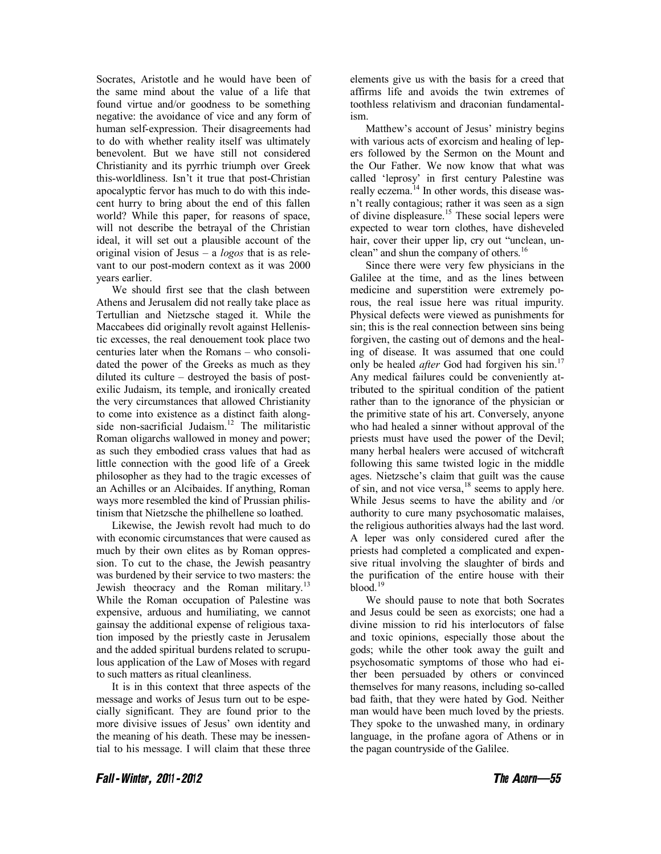Socrates, Aristotle and he would have been of the same mind about the value of a life that found virtue and/or goodness to be something negative: the avoidance of vice and any form of human self-expression. Their disagreements had to do with whether reality itself was ultimately benevolent. But we have still not considered Christianity and its pyrrhic triumph over Greek this-worldliness. Isn't it true that post-Christian apocalyptic fervor has much to do with this indecent hurry to bring about the end of this fallen world? While this paper, for reasons of space, will not describe the betrayal of the Christian ideal, it will set out a plausible account of the original vision of Jesus – a *logos* that is as relevant to our post-modern context as it was 2000 years earlier.

We should first see that the clash between Athens and Jerusalem did not really take place as Tertullian and Nietzsche staged it. While the Maccabees did originally revolt against Hellenistic excesses, the real denouement took place two centuries later when the Romans – who consolidated the power of the Greeks as much as they diluted its culture – destroyed the basis of postexilic Judaism, its temple, and ironically created the very circumstances that allowed Christianity to come into existence as a distinct faith alongside non-sacrificial Judaism.<sup>12</sup> The militaristic Roman oligarchs wallowed in money and power; as such they embodied crass values that had as little connection with the good life of a Greek philosopher as they had to the tragic excesses of an Achilles or an Alcibaides. If anything, Roman ways more resembled the kind of Prussian philistinism that Nietzsche the philhellene so loathed.

Likewise, the Jewish revolt had much to do with economic circumstances that were caused as much by their own elites as by Roman oppression. To cut to the chase, the Jewish peasantry was burdened by their service to two masters: the Jewish theocracy and the Roman military.<sup>13</sup> While the Roman occupation of Palestine was expensive, arduous and humiliating, we cannot gainsay the additional expense of religious taxation imposed by the priestly caste in Jerusalem and the added spiritual burdens related to scrupulous application of the Law of Moses with regard to such matters as ritual cleanliness.

It is in this context that three aspects of the message and works of Jesus turn out to be especially significant. They are found prior to the more divisive issues of Jesus' own identity and the meaning of his death. These may be inessential to his message. I will claim that these three elements give us with the basis for a creed that affirms life and avoids the twin extremes of toothless relativism and draconian fundamentalism.

Matthew's account of Jesus' ministry begins with various acts of exorcism and healing of lepers followed by the Sermon on the Mount and the Our Father. We now know that what was called 'leprosy' in first century Palestine was really eczema.<sup>14</sup> In other words, this disease wasn't really contagious; rather it was seen as a sign of divine displeasure.<sup>15</sup> These social lepers were expected to wear torn clothes, have disheveled hair, cover their upper lip, cry out "unclean, unclean" and shun the company of others.16

Since there were very few physicians in the Galilee at the time, and as the lines between medicine and superstition were extremely porous, the real issue here was ritual impurity. Physical defects were viewed as punishments for sin; this is the real connection between sins being forgiven, the casting out of demons and the healing of disease. It was assumed that one could only be healed *after* God had forgiven his sin.<sup>17</sup> Any medical failures could be conveniently attributed to the spiritual condition of the patient rather than to the ignorance of the physician or the primitive state of his art. Conversely, anyone who had healed a sinner without approval of the priests must have used the power of the Devil; many herbal healers were accused of witchcraft following this same twisted logic in the middle ages. Nietzsche's claim that guilt was the cause of sin, and not vice versa,<sup>18</sup> seems to apply here. While Jesus seems to have the ability and /or authority to cure many psychosomatic malaises, the religious authorities always had the last word. A leper was only considered cured after the priests had completed a complicated and expensive ritual involving the slaughter of birds and the purification of the entire house with their blood.<sup>19</sup>

We should pause to note that both Socrates and Jesus could be seen as exorcists; one had a divine mission to rid his interlocutors of false and toxic opinions, especially those about the gods; while the other took away the guilt and psychosomatic symptoms of those who had either been persuaded by others or convinced themselves for many reasons, including so-called bad faith, that they were hated by God. Neither man would have been much loved by the priests. They spoke to the unwashed many, in ordinary language, in the profane agora of Athens or in the pagan countryside of the Galilee.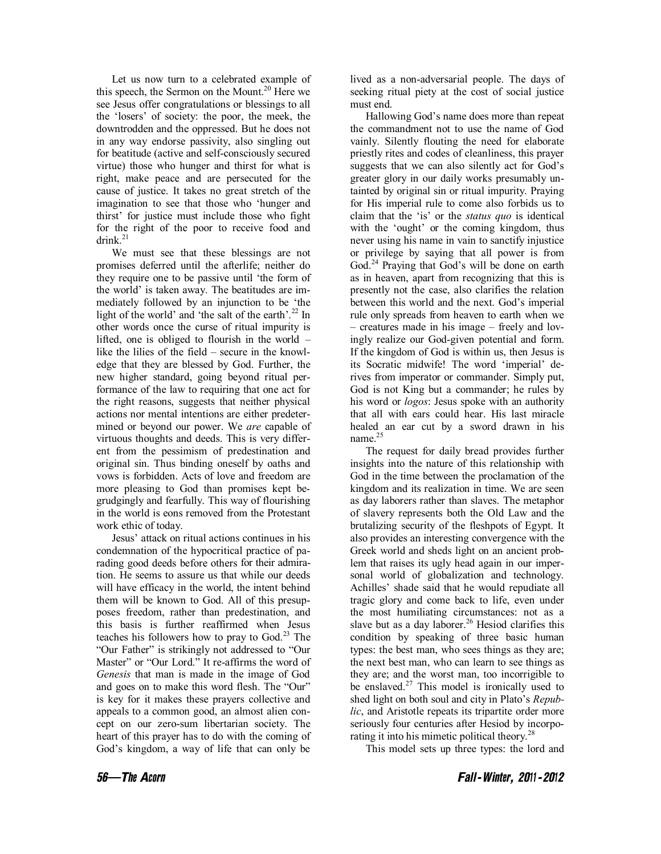Let us now turn to a celebrated example of this speech, the Sermon on the Mount.<sup>20</sup> Here we see Jesus offer congratulations or blessings to all the 'losers' of society: the poor, the meek, the downtrodden and the oppressed. But he does not in any way endorse passivity, also singling out for beatitude (active and self-consciously secured virtue) those who hunger and thirst for what is right, make peace and are persecuted for the cause of justice. It takes no great stretch of the imagination to see that those who 'hunger and thirst' for justice must include those who fight for the right of the poor to receive food and drink $^{21}$ 

We must see that these blessings are not promises deferred until the afterlife; neither do they require one to be passive until 'the form of the world' is taken away. The beatitudes are immediately followed by an injunction to be 'the light of the world' and 'the salt of the earth'.<sup>22</sup> In other words once the curse of ritual impurity is lifted, one is obliged to flourish in the world – like the lilies of the field – secure in the knowledge that they are blessed by God. Further, the new higher standard, going beyond ritual performance of the law to requiring that one act for the right reasons, suggests that neither physical actions nor mental intentions are either predetermined or beyond our power. We *are* capable of virtuous thoughts and deeds. This is very different from the pessimism of predestination and original sin. Thus binding oneself by oaths and vows is forbidden. Acts of love and freedom are more pleasing to God than promises kept begrudgingly and fearfully. This way of flourishing in the world is eons removed from the Protestant work ethic of today.

Jesus' attack on ritual actions continues in his condemnation of the hypocritical practice of parading good deeds before others for their admiration. He seems to assure us that while our deeds will have efficacy in the world, the intent behind them will be known to God. All of this presupposes freedom, rather than predestination, and this basis is further reaffirmed when Jesus teaches his followers how to pray to God.<sup>23</sup> The "Our Father" is strikingly not addressed to "Our Master" or "Our Lord." It re-affirms the word of *Genesis* that man is made in the image of God and goes on to make this word flesh. The "Our" is key for it makes these prayers collective and appeals to a common good, an almost alien concept on our zero-sum libertarian society. The heart of this prayer has to do with the coming of God's kingdom, a way of life that can only be

lived as a non-adversarial people. The days of seeking ritual piety at the cost of social justice must end.

Hallowing God's name does more than repeat the commandment not to use the name of God vainly. Silently flouting the need for elaborate priestly rites and codes of cleanliness, this prayer suggests that we can also silently act for God's greater glory in our daily works presumably untainted by original sin or ritual impurity. Praying for His imperial rule to come also forbids us to claim that the 'is' or the *status quo* is identical with the 'ought' or the coming kingdom, thus never using his name in vain to sanctify injustice or privilege by saying that all power is from God.<sup>24</sup> Praying that God's will be done on earth as in heaven, apart from recognizing that this is presently not the case, also clarifies the relation between this world and the next. God's imperial rule only spreads from heaven to earth when we – creatures made in his image – freely and lovingly realize our God-given potential and form. If the kingdom of God is within us, then Jesus is its Socratic midwife! The word 'imperial' derives from imperator or commander. Simply put, God is not King but a commander; he rules by his word or *logos*: Jesus spoke with an authority that all with ears could hear. His last miracle healed an ear cut by a sword drawn in his name.<sup>25</sup>

The request for daily bread provides further insights into the nature of this relationship with God in the time between the proclamation of the kingdom and its realization in time. We are seen as day laborers rather than slaves. The metaphor of slavery represents both the Old Law and the brutalizing security of the fleshpots of Egypt. It also provides an interesting convergence with the Greek world and sheds light on an ancient problem that raises its ugly head again in our impersonal world of globalization and technology. Achilles' shade said that he would repudiate all tragic glory and come back to life, even under the most humiliating circumstances: not as a slave but as a day laborer.<sup>26</sup> Hesiod clarifies this condition by speaking of three basic human types: the best man, who sees things as they are; the next best man, who can learn to see things as they are; and the worst man, too incorrigible to be enslaved. $27$  This model is ironically used to shed light on both soul and city in Plato's *Republic*, and Aristotle repeats its tripartite order more seriously four centuries after Hesiod by incorporating it into his mimetic political theory.<sup>28</sup>

This model sets up three types: the lord and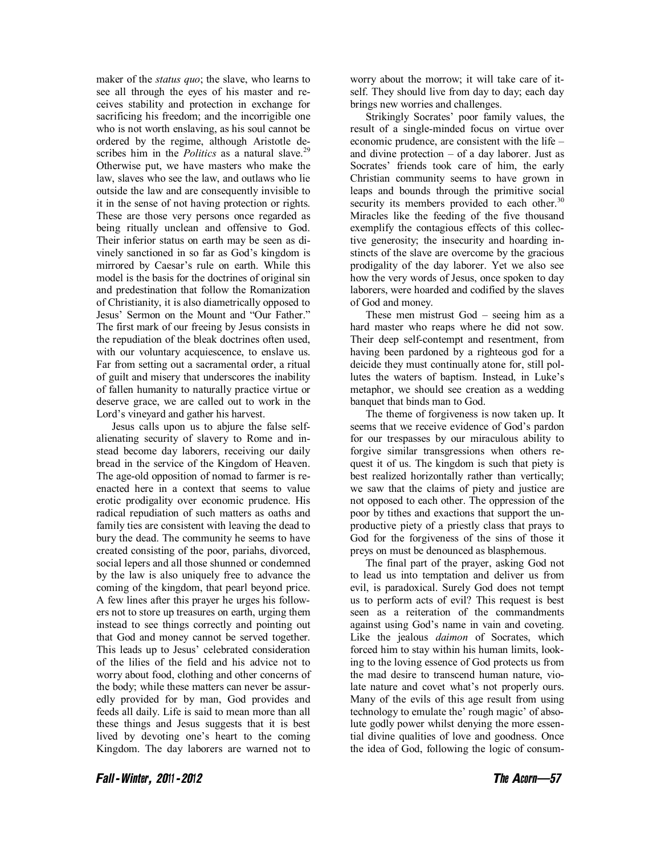maker of the *status quo*; the slave, who learns to see all through the eyes of his master and receives stability and protection in exchange for sacrificing his freedom; and the incorrigible one who is not worth enslaving, as his soul cannot be ordered by the regime, although Aristotle describes him in the *Politics* as a natural slave.<sup>29</sup> Otherwise put, we have masters who make the law, slaves who see the law, and outlaws who lie outside the law and are consequently invisible to it in the sense of not having protection or rights. These are those very persons once regarded as being ritually unclean and offensive to God. Their inferior status on earth may be seen as divinely sanctioned in so far as God's kingdom is mirrored by Caesar's rule on earth. While this model is the basis for the doctrines of original sin and predestination that follow the Romanization of Christianity, it is also diametrically opposed to Jesus' Sermon on the Mount and "Our Father." The first mark of our freeing by Jesus consists in the repudiation of the bleak doctrines often used, with our voluntary acquiescence, to enslave us. Far from setting out a sacramental order, a ritual of guilt and misery that underscores the inability of fallen humanity to naturally practice virtue or deserve grace, we are called out to work in the Lord's vineyard and gather his harvest.

Jesus calls upon us to abjure the false selfalienating security of slavery to Rome and instead become day laborers, receiving our daily bread in the service of the Kingdom of Heaven. The age-old opposition of nomad to farmer is reenacted here in a context that seems to value erotic prodigality over economic prudence. His radical repudiation of such matters as oaths and family ties are consistent with leaving the dead to bury the dead. The community he seems to have created consisting of the poor, pariahs, divorced, social lepers and all those shunned or condemned by the law is also uniquely free to advance the coming of the kingdom, that pearl beyond price. A few lines after this prayer he urges his followers not to store up treasures on earth, urging them instead to see things correctly and pointing out that God and money cannot be served together. This leads up to Jesus' celebrated consideration of the lilies of the field and his advice not to worry about food, clothing and other concerns of the body; while these matters can never be assuredly provided for by man, God provides and feeds all daily. Life is said to mean more than all these things and Jesus suggests that it is best lived by devoting one's heart to the coming Kingdom. The day laborers are warned not to worry about the morrow; it will take care of itself. They should live from day to day; each day brings new worries and challenges.

Strikingly Socrates' poor family values, the result of a single-minded focus on virtue over economic prudence, are consistent with the life – and divine protection – of a day laborer. Just as Socrates' friends took care of him, the early Christian community seems to have grown in leaps and bounds through the primitive social security its members provided to each other. $30$ Miracles like the feeding of the five thousand exemplify the contagious effects of this collective generosity; the insecurity and hoarding instincts of the slave are overcome by the gracious prodigality of the day laborer. Yet we also see how the very words of Jesus, once spoken to day laborers, were hoarded and codified by the slaves of God and money.

These men mistrust God – seeing him as a hard master who reaps where he did not sow. Their deep self-contempt and resentment, from having been pardoned by a righteous god for a deicide they must continually atone for, still pollutes the waters of baptism. Instead, in Luke's metaphor, we should see creation as a wedding banquet that binds man to God.

The theme of forgiveness is now taken up. It seems that we receive evidence of God's pardon for our trespasses by our miraculous ability to forgive similar transgressions when others request it of us. The kingdom is such that piety is best realized horizontally rather than vertically; we saw that the claims of piety and justice are not opposed to each other. The oppression of the poor by tithes and exactions that support the unproductive piety of a priestly class that prays to God for the forgiveness of the sins of those it preys on must be denounced as blasphemous.

The final part of the prayer, asking God not to lead us into temptation and deliver us from evil, is paradoxical. Surely God does not tempt us to perform acts of evil? This request is best seen as a reiteration of the commandments against using God's name in vain and coveting. Like the jealous *daimon* of Socrates, which forced him to stay within his human limits, looking to the loving essence of God protects us from the mad desire to transcend human nature, violate nature and covet what's not properly ours. Many of the evils of this age result from using technology to emulate the' rough magic' of absolute godly power whilst denying the more essential divine qualities of love and goodness. Once the idea of God, following the logic of consum